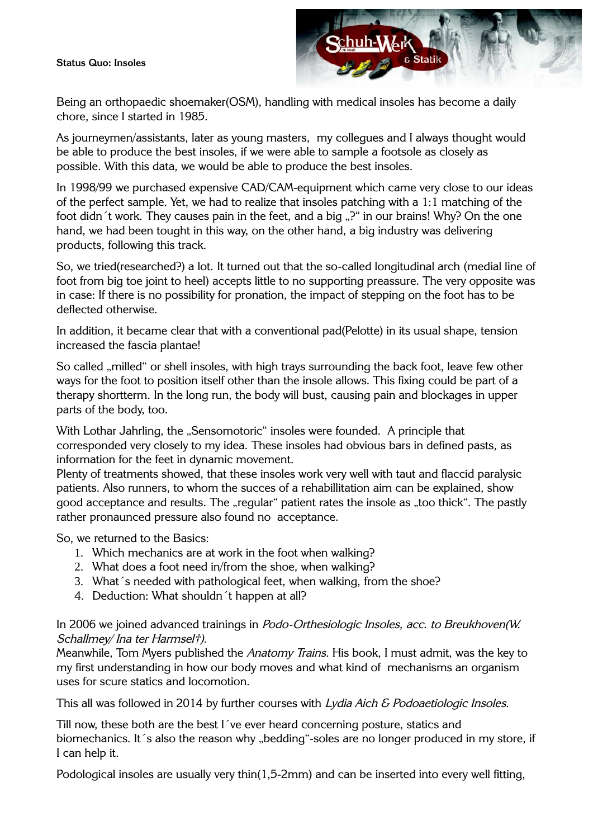#### **Status Quo: Insoles**



Being an orthopaedic shoemaker(OSM), handling with medical insoles has become a daily chore, since I started in 1985.

As journeymen/assistants, later as young masters, my collegues and I always thought would be able to produce the best insoles, if we were able to sample a footsole as closely as possible. With this data, we would be able to produce the best insoles.

In 1998/99 we purchased expensive CAD/CAM-equipment which came very close to our ideas of the perfect sample. Yet, we had to realize that insoles patching with a 1:1 matching of the foot didn<sup>2</sup>t work. They causes pain in the feet, and a big "?" in our brains! Why? On the one hand, we had been tought in this way, on the other hand, a big industry was delivering products, following this track.

So, we tried(researched?) a lot. It turned out that the so-called longitudinal arch (medial line of foot from big toe joint to heel) accepts little to no supporting preassure. The very opposite was in case: If there is no possibility for pronation, the impact of stepping on the foot has to be deflected otherwise.

In addition, it became clear that with a conventional pad(Pelotte) in its usual shape, tension increased the fascia plantae!

So called "milled" or shell insoles, with high trays surrounding the back foot, leave few other ways for the foot to position itself other than the insole allows. This fixing could be part of a therapy shortterm. In the long run, the body will bust, causing pain and blockages in upper parts of the body, too.

With Lothar Jahrling, the "Sensomotoric" insoles were founded. A principle that corresponded very closely to my idea. These insoles had obvious bars in defined pasts, as information for the feet in dynamic movement.

Plenty of treatments showed, that these insoles work very well with taut and flaccid paralysic patients. Also runners, to whom the succes of a rehabillitation aim can be explained, show good acceptance and results. The "regular" patient rates the insole as "too thick". The pastly rather pronaunced pressure also found no acceptance.

So, we returned to the Basics:

- 1. Which mechanics are at work in the foot when walking?
- 2. What does a foot need in/from the shoe, when walking?
- 3. What´s needed with pathological feet, when walking, from the shoe?
- 4. Deduction: What shouldn´t happen at all?

### In 2006 we joined advanced trainings in Podo-Orthesiologic Insoles, acc. to Breukhoven(W. Schallmey/ Ina ter Harmsel†).

Meanwhile, Tom Myers published the Anatomy Trains. His book, I must admit, was the key to my first understanding in how our body moves and what kind of mechanisms an organism uses for scure statics and locomotion.

This all was followed in 2014 by further courses with Lydia Aich & Podoaetiologic Insoles.

Till now, these both are the best I´ve ever heard concerning posture, statics and biomechanics. It 's also the reason why "bedding"-soles are no longer produced in my store, if I can help it.

Podological insoles are usually very thin(1,5-2mm) and can be inserted into every well fitting,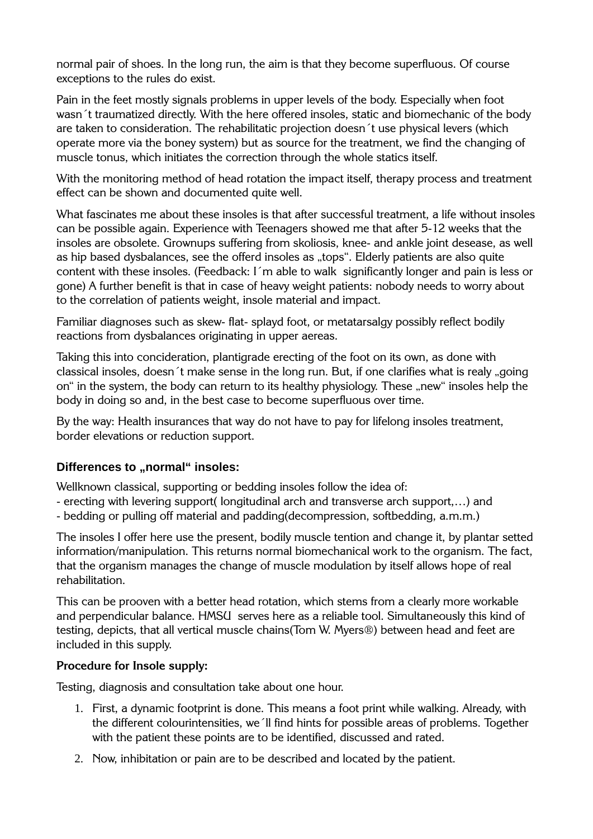normal pair of shoes. In the long run, the aim is that they become superfluous. Of course exceptions to the rules do exist.

Pain in the feet mostly signals problems in upper levels of the body. Especially when foot wasn´t traumatized directly. With the here offered insoles, static and biomechanic of the body are taken to consideration. The rehabilitatic projection doesn´t use physical levers (which operate more via the boney system) but as source for the treatment, we find the changing of muscle tonus, which initiates the correction through the whole statics itself.

With the monitoring method of head rotation the impact itself, therapy process and treatment effect can be shown and documented quite well.

What fascinates me about these insoles is that after successful treatment, a life without insoles can be possible again. Experience with Teenagers showed me that after 5-12 weeks that the insoles are obsolete. Grownups suffering from skoliosis, knee- and ankle joint desease, as well as hip based dysbalances, see the offerd insoles as "tops". Elderly patients are also quite content with these insoles. (Feedback: I´m able to walk significantly longer and pain is less or gone) A further benefit is that in case of heavy weight patients: nobody needs to worry about to the correlation of patients weight, insole material and impact.

Familiar diagnoses such as skew- flat- splayd foot, or metatarsalgy possibly reflect bodily reactions from dysbalances originating in upper aereas.

Taking this into concideration, plantigrade erecting of the foot on its own, as done with classical insoles, doesn t make sense in the long run. But, if one clarifies what is realy "going on" in the system, the body can return to its healthy physiology. These "new" insoles help the body in doing so and, in the best case to become superfluous over time.

By the way: Health insurances that way do not have to pay for lifelong insoles treatment, border elevations or reduction support.

# **Differences to ..normal" insoles:**

Wellknown classical, supporting or bedding insoles follow the idea of:

- erecting with levering support( longitudinal arch and transverse arch support,…) and

- bedding or pulling off material and padding(decompression, softbedding, a.m.m.)

The insoles I offer here use the present, bodily muscle tention and change it, by plantar setted information/manipulation. This returns normal biomechanical work to the organism. The fact, that the organism manages the change of muscle modulation by itself allows hope of real rehabilitation.

This can be prooven with a better head rotation, which stems from a clearly more workable and perpendicular balance. HMSU serves here as a reliable tool. Simultaneously this kind of testing, depicts, that all vertical muscle chains(Tom W. Myers®) between head and feet are included in this supply.

### **Procedure for Insole supply:**

Testing, diagnosis and consultation take about one hour.

- 1. First, a dynamic footprint is done. This means a foot print while walking. Already, with the different colourintensities, we´ll find hints for possible areas of problems. Together with the patient these points are to be identified, discussed and rated.
- 2. Now, inhibitation or pain are to be described and located by the patient.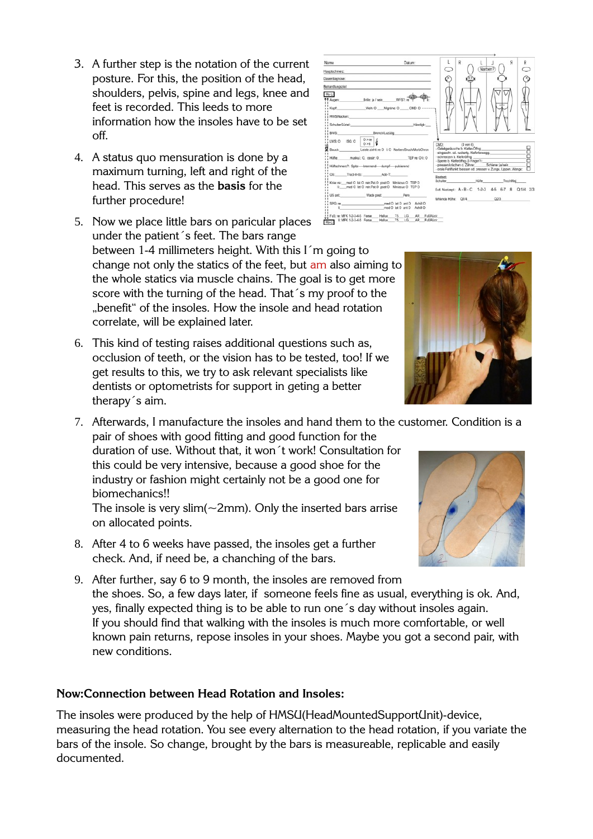- 3. A further step is the notation of the current posture. For this, the position of the head, shoulders, pelvis, spine and legs, knee and feet is recorded. This leeds to more information how the insoles have to be set off.
- 4. A status quo mensuration is done by a maximum turning, left and right of the head. This serves as the **basis** for the further procedure!
- 5. Now we place little bars on paricular places under the patient´s feet. The bars range between 1-4 millimeters height. With this I´m going to change not only the statics of the feet, but am also aiming to the whole statics via muscle chains. The goal is to get more score with the turning of the head. That´s my proof to the "benefit" of the insoles. How the insole and head rotation correlate, will be explained later.
- 6. This kind of testing raises additional questions such as, occlusion of teeth, or the vision has to be tested, too! If we get results to this, we try to ask relevant specialists like dentists or optometrists for support in geting a better therapy´s aim.
- 7. Afterwards, I manufacture the insoles and hand them to the customer. Condition is a

pair of shoes with good fitting and good function for the duration of use. Without that, it won´t work! Consultation for this could be very intensive, because a good shoe for the industry or fashion might certainly not be a good one for biomechanics!!

The insole is very slim( $\sim$ 2mm). Only the inserted bars arrise on allocated points.

- 8. After 4 to 6 weeks have passed, the insoles get a further check. And, if need be, a chanching of the bars.
- 9. After further, say 6 to 9 month, the insoles are removed from the shoes. So, a few days later, if someone feels fine as usual, everything is ok. And, yes, finally expected thing is to be able to run one´s day without insoles again. If you should find that walking with the insoles is much more comfortable, or well known pain returns, repose insoles in your shoes. Maybe you got a second pair, with new conditions.

# **Now:Connection between Head Rotation and Insoles:**

The insoles were produced by the help of HMSU(HeadMountedSupportUnit)-device, measuring the head rotation. You see every alternation to the head rotation, if you variate the bars of the insole. So change, brought by the bars is measureable, replicable and easily documented.

#### BWS: LIVE O ISG O P Bauch: muskul.: O, ossär: O !! Hifte: TEP to: O E: O Hüftschmerz?: Spitz---brennend-----dumpf-----pulsierend OS: Tract-ill-tib: Add-T Knie: re: \_\_ med O lat O retr.Pat.O post O Miniscus O TEP O

i<br>US anti

HWS/Nacker SchulterGürte

Name

Re-Li  $K$ ort

Hauptschmerz

Dauerdiagnose andungszie

||<br>||Fuß:ne:MFK1-2-3-4-5 Ferse\_\_\_Hallux\_\_\_T5\_\_LG\_\_\_AR\_\_FußRück\_\_<br>|Re-Li] ||::MFK1-2-3-4-5 Ferse\_\_\_Hallux\_\_\_T5\_\_\_LG\_\_\_AR\_\_FußRück\_\_

Pero





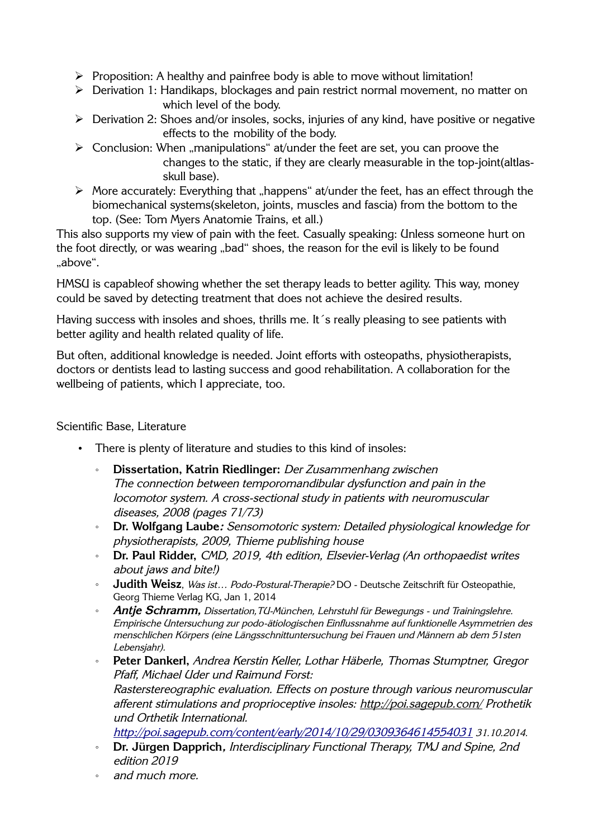- ➢ Proposition: A healthy and painfree body is able to move without limitation!
- ➢ Derivation 1: Handikaps, blockages and pain restrict normal movement, no matter on which level of the body.
- ➢ Derivation 2: Shoes and/or insoles, socks, injuries of any kind, have positive or negative effects to the mobility of the body.
- $\triangleright$  Conclusion: When "manipulations" at/under the feet are set, you can proove the changes to the static, if they are clearly measurable in the top-joint(altlasskull base).
- $\triangleright$  More accurately: Everything that "happens" at/under the feet, has an effect through the biomechanical systems(skeleton, joints, muscles and fascia) from the bottom to the top. (See: Tom Myers Anatomie Trains, et all.)

This also supports my view of pain with the feet. Casually speaking: Unless someone hurt on the foot directly, or was wearing "bad" shoes, the reason for the evil is likely to be found ..above".

HMSU is capableof showing whether the set therapy leads to better agility. This way, money could be saved by detecting treatment that does not achieve the desired results.

Having success with insoles and shoes, thrills me. It 's really pleasing to see patients with better agility and health related quality of life.

But often, additional knowledge is needed. Joint efforts with osteopaths, physiotherapists, doctors or dentists lead to lasting success and good rehabilitation. A collaboration for the wellbeing of patients, which I appreciate, too.

Scientific Base, Literature

- There is plenty of literature and studies to this kind of insoles:
	- **Dissertation, Katrin Riedlinger:** Der Zusammenhang zwischen The connection between temporomandibular dysfunction and pain in the locomotor system. A cross-sectional study in patients with neuromuscular diseases, 2008 (pages 71/73)
	- **Dr. Wolfgang Laube:** Sensomotoric system: Detailed physiological knowledge for physiotherapists, 2009, Thieme publishing house
	- **Dr. Paul Ridder,** CMD, 2019, 4th edition, Elsevier-Verlag (An orthopaedist writes about jaws and bite!)
	- **Judith Weisz**, Was ist… Podo-Postural-Therapie? DO Deutsche Zeitschrift für Osteopathie, Georg Thieme Verlag KG, Jan 1, 2014
	- **Antje Schramm,** Dissertation,TU-München, Lehrstuhl für Bewegungs und Trainingslehre. Empirische Untersuchung zur podo-ätiologischen Einflussnahme auf funktionelle Asymmetrien des menschlichen Körpers (eine Längsschnittuntersuchung bei Frauen und Männern ab dem 51sten Lebensjahr).
	- **Peter Dankerl,** Andrea Kerstin Keller, Lothar Häberle, Thomas Stumptner, Gregor Pfaff, Michael Uder und Raimund Forst: Rasterstereographic evaluation. Effects on posture through various neuromuscular afferent stimulations and proprioceptive insoles: http://poi.sagepub.com/ Prothetik und Orthetik International. <http://poi.sagepub.com/content/early/2014/10/29/0309364614554031> 31.10.2014.
	- **Dr. Jürgen Dapprich,** Interdisciplinary Functional Therapy, TMJ and Spine, 2nd edition 2019
	- and much more.